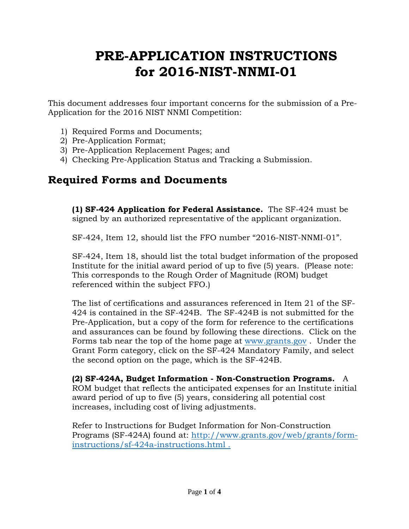# **PRE-APPLICATION INSTRUCTIONS for 2016-NIST-NNMI-01**

This document addresses four important concerns for the submission of a Pre-Application for the 2016 NIST NNMI Competition:

- 1) Required Forms and Documents;
- 2) Pre-Application Format;
- 3) Pre-Application Replacement Pages; and
- 4) Checking Pre-Application Status and Tracking a Submission.

### **Required Forms and Documents**

**(1) SF-424 Application for Federal Assistance.** The SF-424 must be signed by an authorized representative of the applicant organization.

SF-424, Item 12, should list the FFO number "2016-NIST-NNMI-01".

SF-424, Item 18, should list the total budget information of the proposed Institute for the initial award period of up to five (5) years. (Please note: This corresponds to the Rough Order of Magnitude (ROM) budget referenced within the subject FFO.)

The list of certifications and assurances referenced in Item 21 of the SF-424 is contained in the SF-424B. The SF-424B is not submitted for the Pre-Application, but a copy of the form for reference to the certifications and assurances can be found by following these directions. Click on the Forms tab near the top of the home page at [www.grants.gov](http://www.grants.gov/) . Under the Grant Form category, click on the SF-424 Mandatory Family, and select the second option on the page, which is the SF-424B.

**(2) SF-424A, Budget Information - Non-Construction Programs.** A ROM budget that reflects the anticipated expenses for an Institute initial award period of up to five (5) years, considering all potential cost increases, including cost of living adjustments.

Refer to Instructions for Budget Information for Non-Construction Programs (SF-424A) found at: [http://www.grants.gov/web/grants/form](http://www.grants.gov/web/grants/form-instructions/sf-424a-instructions.html)[instructions/sf-424a-instructions.html](http://www.grants.gov/web/grants/form-instructions/sf-424a-instructions.html) .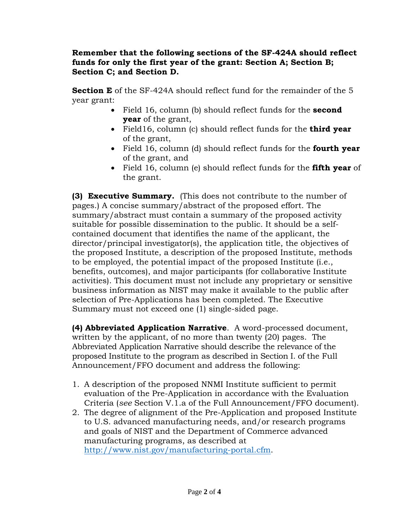#### **Remember that the following sections of the SF-424A should reflect funds for only the first year of the grant: Section A; Section B; Section C; and Section D.**

**Section E** of the SF-424A should reflect fund for the remainder of the 5 year grant:

- Field 16, column (b) should reflect funds for the **second year** of the grant,
- Field16, column (c) should reflect funds for the **third year** of the grant,
- Field 16, column (d) should reflect funds for the **fourth year** of the grant, and
- Field 16, column (e) should reflect funds for the **fifth year** of the grant.

**(3) Executive Summary.** (This does not contribute to the number of pages.) A concise summary/abstract of the proposed effort. The summary/abstract must contain a summary of the proposed activity suitable for possible dissemination to the public. It should be a selfcontained document that identifies the name of the applicant, the director/principal investigator(s), the application title, the objectives of the proposed Institute, a description of the proposed Institute, methods to be employed, the potential impact of the proposed Institute (i.e., benefits, outcomes), and major participants (for collaborative Institute activities). This document must not include any proprietary or sensitive business information as NIST may make it available to the public after selection of Pre-Applications has been completed. The Executive Summary must not exceed one (1) single-sided page.

**(4) Abbreviated Application Narrative**. A word-processed document, written by the applicant, of no more than twenty (20) pages. The Abbreviated Application Narrative should describe the relevance of the proposed Institute to the program as described in Section I. of the Full Announcement/FFO document and address the following:

- 1. A description of the proposed NNMI Institute sufficient to permit evaluation of the Pre-Application in accordance with the Evaluation Criteria (*see* Section V.1.a of the Full Announcement/FFO document).
- 2. The degree of alignment of the Pre-Application and proposed Institute to U.S. advanced manufacturing needs, and/or research programs and goals of NIST and the Department of Commerce advanced manufacturing programs, as described at [http://www.nist.gov/manufacturing-portal.cfm.](http://www.nist.gov/manufacturing-portal.cfm)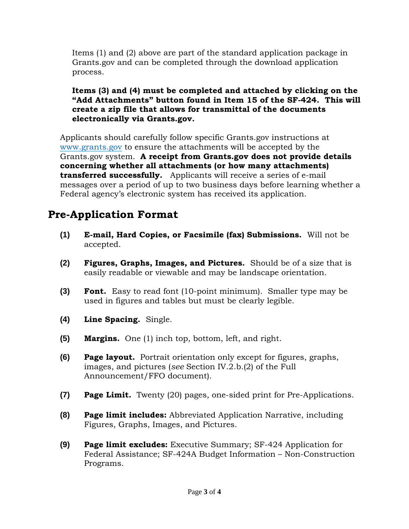Items (1) and (2) above are part of the standard application package in Grants.gov and can be completed through the download application process.

#### **Items (3) and (4) must be completed and attached by clicking on the "Add Attachments" button found in Item 15 of the SF-424. This will create a zip file that allows for transmittal of the documents electronically via Grants.gov.**

Applicants should carefully follow specific Grants.gov instructions at [www.grants.gov](http://www.grants.gov/) to ensure the attachments will be accepted by the Grants.gov system. **A receipt from Grants.gov does not provide details concerning whether all attachments (or how many attachments) transferred successfully.** Applicants will receive a series of e-mail messages over a period of up to two business days before learning whether a Federal agency's electronic system has received its application.

## **Pre-Application Format**

- **(1) E-mail, Hard Copies, or Facsimile (fax) Submissions.** Will not be accepted.
- **(2) Figures, Graphs, Images, and Pictures.** Should be of a size that is easily readable or viewable and may be landscape orientation.
- **(3) Font.** Easy to read font (10-point minimum). Smaller type may be used in figures and tables but must be clearly legible.
- **(4) Line Spacing.** Single.
- **(5) Margins.** One (1) inch top, bottom, left, and right.
- **(6) Page layout.** Portrait orientation only except for figures, graphs, images, and pictures (*see* Section IV.2.b.(2) of the Full Announcement/FFO document).
- **(7) Page Limit.** Twenty (20) pages, one-sided print for Pre-Applications.
- **(8) Page limit includes:** Abbreviated Application Narrative, including Figures, Graphs, Images, and Pictures.
- **(9) Page limit excludes:** Executive Summary; SF-424 Application for Federal Assistance; SF-424A Budget Information – Non-Construction Programs.